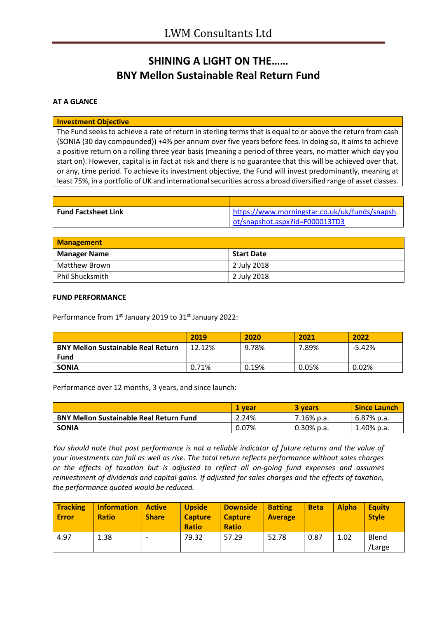# **SHINING A LIGHT ON THE…… BNY Mellon Sustainable Real Return Fund**

### **AT A GLANCE**

#### **Investment Objective**

The Fund seeks to achieve a rate of return in sterling terms that is equal to or above the return from cash (SONIA (30 day compounded)) +4% per annum over five years before fees. In doing so, it aims to achieve a positive return on a rolling three year basis (meaning a period of three years, no matter which day you start on). However, capital is in fact at risk and there is no guarantee that this will be achieved over that, or any, time period. To achieve its investment objective, the Fund will invest predominantly, meaning at least 75%, in a portfolio of UK and international securities across a broad diversified range of asset classes.

| <b>Fund Factsheet Link</b> | https://www.morningstar.co.uk/uk/funds/snapsh |
|----------------------------|-----------------------------------------------|
|                            | ot/snapshot.aspx?id=F000013TD3                |

| Management          |                   |
|---------------------|-------------------|
| <b>Manager Name</b> | <b>Start Date</b> |
| Matthew Brown       | 2 July 2018       |
| Phil Shucksmith     | 2 July 2018       |

#### **FUND PERFORMANCE**

Performance from 1<sup>st</sup> January 2019 to 31<sup>st</sup> January 2022:

|                                           | 2019   | 2020  | 2021  | 2022   |
|-------------------------------------------|--------|-------|-------|--------|
| <b>BNY Mellon Sustainable Real Return</b> | 12.12% | 9.78% | 7.89% | -5.42% |
| <b>Fund</b>                               |        |       |       |        |
| <b>SONIA</b>                              | 0.71%  | 0.19% | 0.05% | 0.02%  |

Performance over 12 months, 3 years, and since launch:

|                                                | 1 vear | 3 years       | <b>Since Launch</b> |
|------------------------------------------------|--------|---------------|---------------------|
| <b>BNY Mellon Sustainable Real Return Fund</b> | 2.24%  | 7.16% p.a.    | 6.87% p.a.          |
| <b>SONIA</b>                                   | 0.07%  | $0.30\%$ p.a. | $1.40\%$ p.a.       |

*You should note that past performance is not a reliable indicator of future returns and the value of your investments can fall as well as rise. The total return reflects performance without sales charges or the effects of taxation but is adjusted to reflect all on-going fund expenses and assumes reinvestment of dividends and capital gains. If adjusted for sales charges and the effects of taxation, the performance quoted would be reduced.*

| <b>Tracking</b><br>Error | Information<br><b>Ratio</b> | <b>Active</b><br><b>Share</b> | <b>Upside</b><br><b>Capture</b><br><b>Ratio</b> | <b>Downside</b><br><b>Capture</b><br><b>Ratio</b> | <b>Batting</b><br><b>Average</b> | <b>Beta</b> | <b>Alpha</b> | <b>Equity</b><br><b>Style</b> |
|--------------------------|-----------------------------|-------------------------------|-------------------------------------------------|---------------------------------------------------|----------------------------------|-------------|--------------|-------------------------------|
| 4.97                     | 1.38                        | $\overline{\phantom{0}}$      | 79.32                                           | 57.29                                             | 52.78                            | 0.87        | 1.02         | Blend<br>Large                |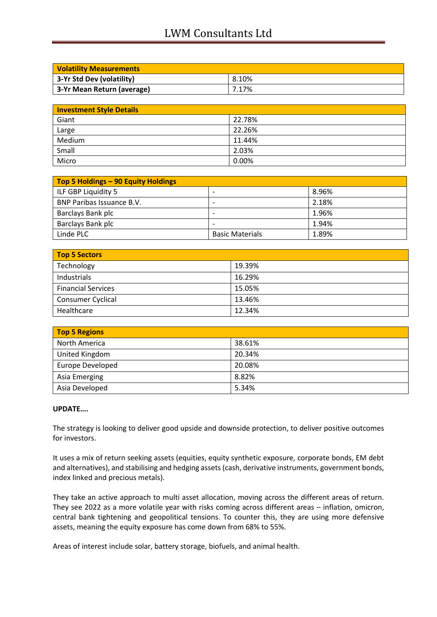## LWM Consultants Ltd

| <b>Volatility Measurements</b> |       |  |
|--------------------------------|-------|--|
| 3-Yr Std Dev (volatility)      | 8.10% |  |
| 3-Yr Mean Return (average)     | 7.17% |  |

| <b>Investment Style Details</b> |        |
|---------------------------------|--------|
| Giant                           | 22.78% |
| Large                           | 22.26% |
| Medium                          | 11.44% |
| Small                           | 2.03%  |
| Micro                           | 0.00%  |

| Top 5 Holdings - 90 Equity Holdings |                          |       |
|-------------------------------------|--------------------------|-------|
| ILF GBP Liquidity 5                 | -                        | 8.96% |
| <b>BNP Paribas Issuance B.V.</b>    | $\overline{\phantom{0}}$ | 2.18% |
| Barclays Bank plc                   | -                        | 1.96% |
| Barclays Bank plc                   | $\overline{\phantom{0}}$ | 1.94% |
| Linde PLC                           | <b>Basic Materials</b>   | 1.89% |

| Top 5 Sectors             |        |  |
|---------------------------|--------|--|
| Technology                | 19.39% |  |
| Industrials               | 16.29% |  |
| <b>Financial Services</b> | 15.05% |  |
| Consumer Cyclical         | 13.46% |  |
| Healthcare                | 12.34% |  |

| <b>Top 5 Regions</b> |        |  |
|----------------------|--------|--|
| North America        | 38.61% |  |
| United Kingdom       | 20.34% |  |
| Europe Developed     | 20.08% |  |
| Asia Emerging        | 8.82%  |  |
| Asia Developed       | 5.34%  |  |

#### **UPDATE….**

The strategy is looking to deliver good upside and downside protection, to deliver positive outcomes for investors.

It uses a mix of return seeking assets (equities, equity synthetic exposure, corporate bonds, EM debt and alternatives), and stabilising and hedging assets (cash, derivative instruments, government bonds, index linked and precious metals).

They take an active approach to multi asset allocation, moving across the different areas of return. They see 2022 as a more volatile year with risks coming across different areas – inflation, omicron, central bank tightening and geopolitical tensions. To counter this, they are using more defensive assets, meaning the equity exposure has come down from 68% to 55%.

Areas of interest include solar, battery storage, biofuels, and animal health.